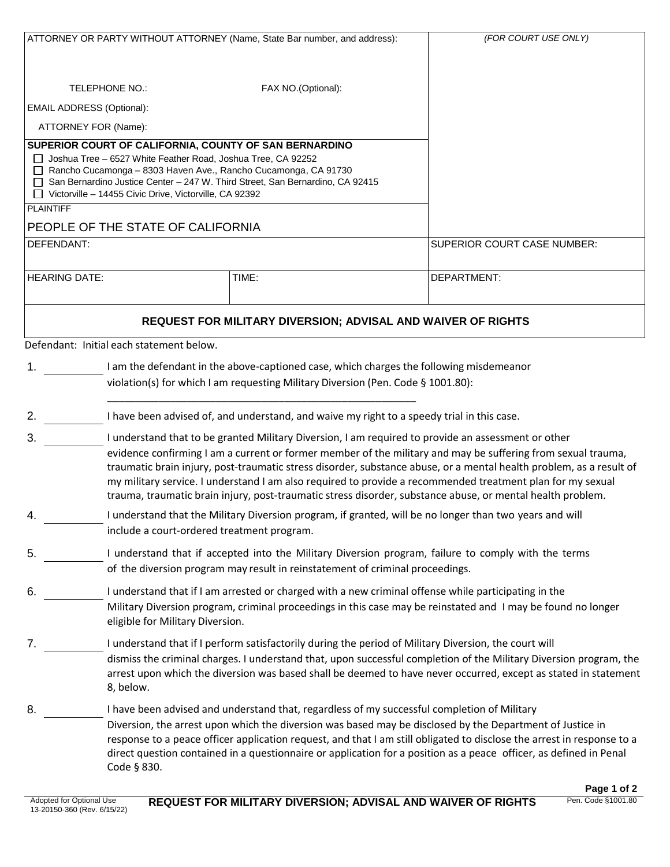| ATTORNEY OR PARTY WITHOUT ATTORNEY (Name, State Bar number, and address): |                                                                                                                                                                                                                          |                                                                                                           | (FOR COURT USE ONLY)                                                                                                   |  |  |
|---------------------------------------------------------------------------|--------------------------------------------------------------------------------------------------------------------------------------------------------------------------------------------------------------------------|-----------------------------------------------------------------------------------------------------------|------------------------------------------------------------------------------------------------------------------------|--|--|
|                                                                           |                                                                                                                                                                                                                          |                                                                                                           |                                                                                                                        |  |  |
|                                                                           |                                                                                                                                                                                                                          |                                                                                                           |                                                                                                                        |  |  |
| <b>TELEPHONE NO.:</b>                                                     |                                                                                                                                                                                                                          |                                                                                                           |                                                                                                                        |  |  |
| <b>EMAIL ADDRESS (Optional):</b>                                          |                                                                                                                                                                                                                          |                                                                                                           |                                                                                                                        |  |  |
| ATTORNEY FOR (Name):                                                      |                                                                                                                                                                                                                          |                                                                                                           |                                                                                                                        |  |  |
|                                                                           | SUPERIOR COURT OF CALIFORNIA, COUNTY OF SAN BERNARDINO                                                                                                                                                                   |                                                                                                           |                                                                                                                        |  |  |
|                                                                           | $\Box$ Joshua Tree – 6527 White Feather Road, Joshua Tree, CA 92252<br>Rancho Cucamonga - 8303 Haven Ave., Rancho Cucamonga, CA 91730                                                                                    |                                                                                                           |                                                                                                                        |  |  |
|                                                                           | □ San Bernardino Justice Center - 247 W. Third Street, San Bernardino, CA 92415                                                                                                                                          |                                                                                                           |                                                                                                                        |  |  |
| <b>PLAINTIFF</b>                                                          | □ Victorville - 14455 Civic Drive, Victorville, CA 92392                                                                                                                                                                 |                                                                                                           |                                                                                                                        |  |  |
|                                                                           | PEOPLE OF THE STATE OF CALIFORNIA                                                                                                                                                                                        |                                                                                                           |                                                                                                                        |  |  |
| DEFENDANT:                                                                |                                                                                                                                                                                                                          | SUPERIOR COURT CASE NUMBER:                                                                               |                                                                                                                        |  |  |
|                                                                           |                                                                                                                                                                                                                          |                                                                                                           |                                                                                                                        |  |  |
| <b>HEARING DATE:</b>                                                      |                                                                                                                                                                                                                          | TIME:                                                                                                     | DEPARTMENT:                                                                                                            |  |  |
|                                                                           |                                                                                                                                                                                                                          |                                                                                                           |                                                                                                                        |  |  |
| <b>REQUEST FOR MILITARY DIVERSION; ADVISAL AND WAIVER OF RIGHTS</b>       |                                                                                                                                                                                                                          |                                                                                                           |                                                                                                                        |  |  |
|                                                                           | Defendant: Initial each statement below.                                                                                                                                                                                 |                                                                                                           |                                                                                                                        |  |  |
|                                                                           |                                                                                                                                                                                                                          |                                                                                                           |                                                                                                                        |  |  |
|                                                                           | 1.<br>I am the defendant in the above-captioned case, which charges the following misdemeanor<br>violation(s) for which I am requesting Military Diversion (Pen. Code § 1001.80):                                        |                                                                                                           |                                                                                                                        |  |  |
|                                                                           |                                                                                                                                                                                                                          |                                                                                                           |                                                                                                                        |  |  |
| 2.                                                                        | I have been advised of, and understand, and waive my right to a speedy trial in this case.                                                                                                                               |                                                                                                           |                                                                                                                        |  |  |
| 3.                                                                        | I understand that to be granted Military Diversion, I am required to provide an assessment or other                                                                                                                      |                                                                                                           |                                                                                                                        |  |  |
|                                                                           | evidence confirming I am a current or former member of the military and may be suffering from sexual trauma,                                                                                                             |                                                                                                           |                                                                                                                        |  |  |
|                                                                           | traumatic brain injury, post-traumatic stress disorder, substance abuse, or a mental health problem, as a result of                                                                                                      |                                                                                                           |                                                                                                                        |  |  |
|                                                                           | my military service. I understand I am also required to provide a recommended treatment plan for my sexual<br>trauma, traumatic brain injury, post-traumatic stress disorder, substance abuse, or mental health problem. |                                                                                                           |                                                                                                                        |  |  |
| 4.                                                                        | I understand that the Military Diversion program, if granted, will be no longer than two years and will                                                                                                                  |                                                                                                           |                                                                                                                        |  |  |
|                                                                           | include a court-ordered treatment program.                                                                                                                                                                               |                                                                                                           |                                                                                                                        |  |  |
| 5.                                                                        | I understand that if accepted into the Military Diversion program, failure to comply with the terms                                                                                                                      |                                                                                                           |                                                                                                                        |  |  |
|                                                                           |                                                                                                                                                                                                                          | of the diversion program may result in reinstatement of criminal proceedings.                             |                                                                                                                        |  |  |
| 6.                                                                        |                                                                                                                                                                                                                          | I understand that if I am arrested or charged with a new criminal offense while participating in the      |                                                                                                                        |  |  |
|                                                                           |                                                                                                                                                                                                                          |                                                                                                           | Military Diversion program, criminal proceedings in this case may be reinstated and I may be found no longer           |  |  |
|                                                                           | eligible for Military Diversion.                                                                                                                                                                                         |                                                                                                           |                                                                                                                        |  |  |
| 7.                                                                        |                                                                                                                                                                                                                          | I understand that if I perform satisfactorily during the period of Military Diversion, the court will     |                                                                                                                        |  |  |
|                                                                           |                                                                                                                                                                                                                          |                                                                                                           | dismiss the criminal charges. I understand that, upon successful completion of the Military Diversion program, the     |  |  |
|                                                                           |                                                                                                                                                                                                                          |                                                                                                           | arrest upon which the diversion was based shall be deemed to have never occurred, except as stated in statement        |  |  |
|                                                                           | 8, below.                                                                                                                                                                                                                |                                                                                                           |                                                                                                                        |  |  |
| 8.                                                                        |                                                                                                                                                                                                                          | I have been advised and understand that, regardless of my successful completion of Military               |                                                                                                                        |  |  |
|                                                                           |                                                                                                                                                                                                                          | Diversion, the arrest upon which the diversion was based may be disclosed by the Department of Justice in | response to a peace officer application request, and that I am still obligated to disclose the arrest in response to a |  |  |
|                                                                           |                                                                                                                                                                                                                          |                                                                                                           | direct question contained in a questionnaire or application for a position as a peace officer, as defined in Penal     |  |  |
|                                                                           | Code § 830.                                                                                                                                                                                                              |                                                                                                           |                                                                                                                        |  |  |
|                                                                           |                                                                                                                                                                                                                          |                                                                                                           |                                                                                                                        |  |  |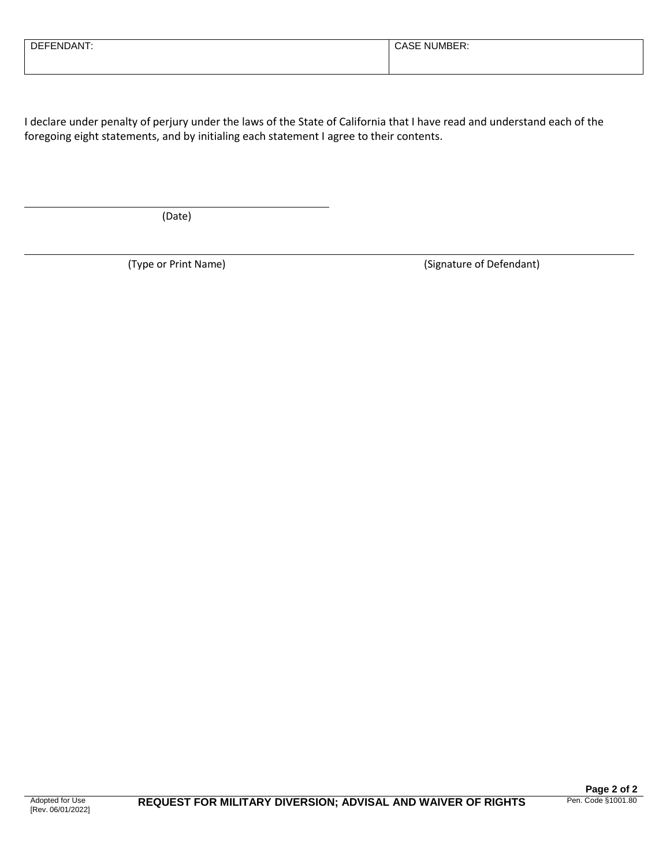| $\sim$ $\sim$ $\sim$ $\sim$<br>בח<br>W. | . — —<br>וואו |
|-----------------------------------------|---------------|
|                                         |               |

I declare under penalty of perjury under the laws of the State of California that I have read and understand each of the foregoing eight statements, and by initialing each statement I agree to their contents.

(Date)

(Type or Print Name) (Signature of Defendant)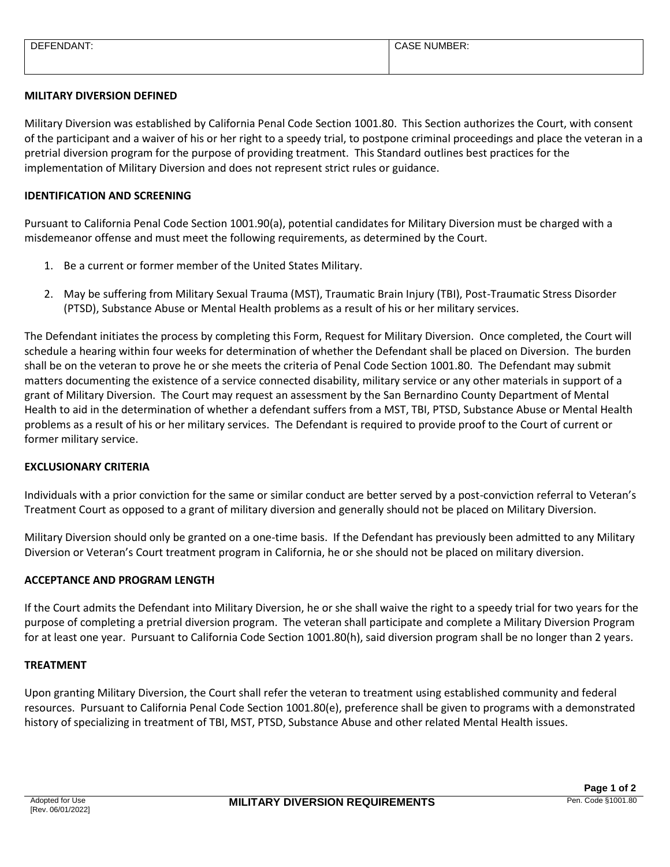| FNDANT<br><b>DEFL</b> | $\overline{\phantom{0}}$<br>NUMBER:<br>. הכאט |
|-----------------------|-----------------------------------------------|
|                       |                                               |
|                       |                                               |

# **MILITARY DIVERSION DEFINED**

Military Diversion was established by California Penal Code Section 1001.80. This Section authorizes the Court, with consent of the participant and a waiver of his or her right to a speedy trial, to postpone criminal proceedings and place the veteran in a pretrial diversion program for the purpose of providing treatment. This Standard outlines best practices for the implementation of Military Diversion and does not represent strict rules or guidance.

### **IDENTIFICATION AND SCREENING**

Pursuant to California Penal Code Section 1001.90(a), potential candidates for Military Diversion must be charged with a misdemeanor offense and must meet the following requirements, as determined by the Court.

- 1. Be a current or former member of the United States Military.
- 2. May be suffering from Military Sexual Trauma (MST), Traumatic Brain Injury (TBI), Post-Traumatic Stress Disorder (PTSD), Substance Abuse or Mental Health problems as a result of his or her military services.

The Defendant initiates the process by completing this Form, Request for Military Diversion. Once completed, the Court will schedule a hearing within four weeks for determination of whether the Defendant shall be placed on Diversion. The burden shall be on the veteran to prove he or she meets the criteria of Penal Code Section 1001.80. The Defendant may submit matters documenting the existence of a service connected disability, military service or any other materials in support of a grant of Military Diversion. The Court may request an assessment by the San Bernardino County Department of Mental Health to aid in the determination of whether a defendant suffers from a MST, TBI, PTSD, Substance Abuse or Mental Health problems as a result of his or her military services. The Defendant is required to provide proof to the Court of current or former military service.

#### **EXCLUSIONARY CRITERIA**

Individuals with a prior conviction for the same or similar conduct are better served by a post-conviction referral to Veteran's Treatment Court as opposed to a grant of military diversion and generally should not be placed on Military Diversion.

Military Diversion should only be granted on a one-time basis. If the Defendant has previously been admitted to any Military Diversion or Veteran's Court treatment program in California, he or she should not be placed on military diversion.

# **ACCEPTANCE AND PROGRAM LENGTH**

If the Court admits the Defendant into Military Diversion, he or she shall waive the right to a speedy trial for two years for the purpose of completing a pretrial diversion program. The veteran shall participate and complete a Military Diversion Program for at least one year. Pursuant to California Code Section 1001.80(h), said diversion program shall be no longer than 2 years.

#### **TREATMENT**

Upon granting Military Diversion, the Court shall refer the veteran to treatment using established community and federal resources. Pursuant to California Penal Code Section 1001.80(e), preference shall be given to programs with a demonstrated history of specializing in treatment of TBI, MST, PTSD, Substance Abuse and other related Mental Health issues.